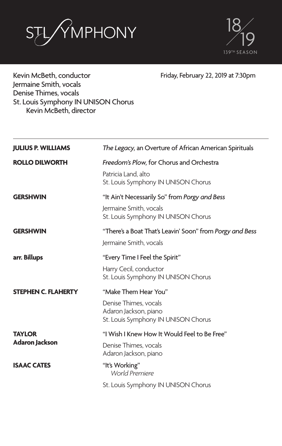



Kevin McBeth, conductor Jermaine Smith, vocals Denise Thimes, vocals St. Louis Symphony IN UNISON Chorus Kevin McBeth, director

Friday, February 22, 2019 at 7:30pm

| <b>JULIUS P. WILLIAMS</b>       | The Legacy, an Overture of African American Spirituals                                                         |
|---------------------------------|----------------------------------------------------------------------------------------------------------------|
| <b>ROLLO DILWORTH</b>           | Freedom's Plow, for Chorus and Orchestra<br>Patricia Land, alto<br>St. Louis Symphony IN UNISON Chorus         |
| <b>GERSHWIN</b>                 | "It Ain't Necessarily So" from Porgy and Bess<br>Jermaine Smith, vocals<br>St. Louis Symphony IN UNISON Chorus |
| <b>GERSHWIN</b>                 | "There's a Boat That's Leavin' Soon" from Porgy and Bess<br>Jermaine Smith, vocals                             |
| arr. Billups                    | "Every Time I Feel the Spirit"<br>Harry Cecil, conductor<br>St. Louis Symphony IN UNISON Chorus                |
| <b>STEPHEN C. FLAHERTY</b>      | "Make Them Hear You"<br>Denise Thimes, vocals<br>Adaron Jackson, piano<br>St. Louis Symphony IN UNISON Chorus  |
| <b>TAYLOR</b><br>Adaron Jackson | "I Wish I Knew How It Would Feel to Be Free"<br>Denise Thimes, vocals<br>Adaron Jackson, piano                 |
| <b>ISAAC CATES</b>              | "It's Working"<br>World Premiere<br>St. Louis Symphony IN UNISON Chorus                                        |
|                                 |                                                                                                                |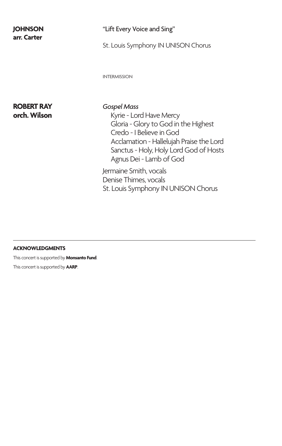## **arr. Carter**

#### **JOHNSON** "Lift Every Voice and Sing"

St. Louis Symphony IN UNISON Chorus

INTERMISSION

# **ROBERT RAY** *Gospel Mass*

Kyrie - Lord Have Mercy Gloria - Glory to God in the Highest Credo - I Believe in God Acclamation - Hallelujah Praise the Lord Sanctus - Holy, Holy Lord God of Hosts Agnus Dei - Lamb of God

Jermaine Smith, vocals Denise Thimes, vocals St. Louis Symphony IN UNISON Chorus

#### **ACKNOWLEDGMENTS**

This concert is supported by **Monsanto Fund**. This concert is supported by **AARP**.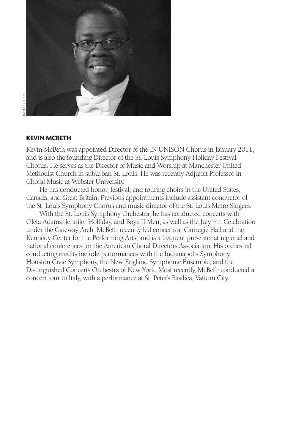

#### **KEVIN MCBETH**

Kevin McBeth was appointed Director of the IN UNISON Chorus in January 2011, and is also the founding Director of the St. Louis Symphony Holiday Festival Chorus. He serves as the Director of Music and Worship at Manchester United Methodist Church in suburban St. Louis. He was recently Adjunct Professor in Choral Music at Webster University.

He has conducted honor, festival, and touring choirs in the United States, Canada, and Great Britain. Previous appointments include assistant conductor of the St. Louis Symphony Chorus and music director of the St. Louis Metro Singers.

With the St. Louis Symphony Orchestra, he has conducted concerts with Oleta Adams, Jennifer Holliday, and Boyz II Men, as well as the July 4th Celebration under the Gateway Arch. McBeth recently led concerts at Carnegie Hall and the Kennedy Center for the Performing Arts, and is a frequent presenter at regional and national conferences for the American Choral Directors Association. His orchestral conducting credits include performances with the Indianapolis Symphony, Houston Civic Symphony, the New England Symphonic Ensemble, and the Distinguished Concerts Orchestra of New York. Most recently, McBeth conducted a concert tour to Italy, with a performance at St. Peter's Basilica, Vatican City.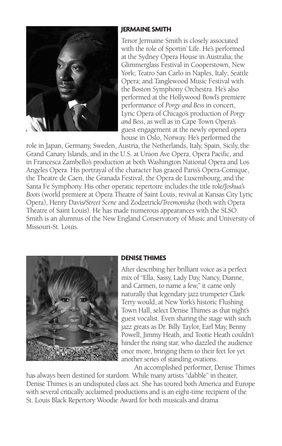

#### **JERMAINE SMITH**

Tenor Jermaine Smith is closely associated with the role of Sportin' Life. He's performed at the Sydney Opera House in Australia; the Glimmerglass Festival in Cooperstown, New York; Teatro San Carlo in Naples, Italy; Seattle Opera; and Tanglewood Music Festival with the Boston Symphony Orchestra. He's also performed at the Hollywood Bowl's premiere performance of *Porgy and Bess* in concert, Lyric Opera of Chicago's production of *Porgy and Bess*, as well as in Cape Town Opera's guest engagement at the newly opened opera house in Oslo, Norway. He's performed the

role in Japan, Germany, Sweden, Austria, the Netherlands, Italy, Spain, Sicily, the Grand Canary Islands, and in the U.S. at Union Ave Opera, Opera Pacific, and in Francesca Zambello's production at both Washington National Opera and Los Angeles Opera. His portrayal of the character has graced Paris's Opera-Comique, the Theatre de Caen, the Granada Festival, the Opera de Luxembourg, and the Santa Fe Symphony. His other operatic repertoire includes the title role/*Joshua's Boots* (world premiere at Opera Theatre of Saint Louis, revival at Kansas City Lyric Opera), Henry Davis/*Street Scene* and Zodzetrick/*Treemonisha* (both with Opera Theatre of Saint Louis). He has made numerous appearances with the SLSO. Smith is an alumnus of the New England Conservatory of Music and University of Missouri-St. Louis.



#### **DENISE THIMES**

After describing her brilliant voice as a perfect mix of "Ella, Sassy, Lady Day, Nancy, Dianne, and Carmen, to name a few," it came only naturally that legendary jazz trumpeter Clark Terry would, at New York's historic Flushing Town Hall, select Denise Thimes as that night's guest vocalist. Even sharing the stage with such jazz greats as Dr. Billy Taylor, Earl May, Benny Powell, Jimmy Heath, and Tootie Heath couldn't hinder the rising star, who dazzled the audience once more, bringing them to their feet for yet another series of standing ovations.

An accomplished performer, Denise Thimes has always been destined for stardom. While many artists "dabble" in theater, Denise Thimes is an undisputed class act. She has toured both America and Europe with several critically acclaimed productions and is an eight-time recipient of the St. Louis Black Repertory Woodie Award for both musicals and drama.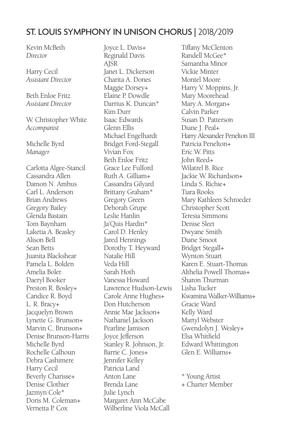### ST. LOUIS SYMPHONY IN UNISON CHORUS | 2018/2019

Kevin McBeth *Director*

Harry Cecil *Assistant Director*

Beth Enloe Fritz *Assistant Director*

W. Christopher White *Accompanist*

Michelle Byrd *Manager*

Carlotta Algee-Stancil Cassandra Allen Damon N. Ambus Carl L. Anderson Brian Andrews Gregory Bailey Glenda Bastain Tom Baynham Laketia A. Beasley Alison Bell Sean Betts Juanita Blackshear Pamela L. Bolden Amelia Boler Daeryl Booker Preston R. Bosley+ Candice R. Boyd L. R. Bracy+ Jacquelyn Brown Lynette G. Brunson+ Marvin C. Brunson+ Denise Brunson-Harris Michelle Byrd Rochelle Calhoun Debra Cashimere Harry Cecil Beverly Charisse+ Denise Clothier Jazmyn Cole\* Doris M. Coleman+ Vernetta P. Cox

Joyce L. Davis+ Reginald Davis AJSR Janet L. Dickerson Charita A. Dones Maggie Dorsey+ Elaine P. Dowdle Darrius K. Duncan\* Kim Durr Isaac Edwards Glenn Ellis Michael Engelhardt Bridget Ford-Stegall Vivian Fox Beth Enloe Fritz Grace Lee Fulford Ruth A. Gilliam+ Cassandra Gilyard Brittany Graham\* Gregory Green Deborah Grupe Leslie Hanlin Ja'Quis Hardin\* Carol D. Henley Jared Hennings Dorothy T. Heyward Natalie Hill Veda Hill Sarah Hoth Vanessa Howard Lawrence Hudson-Lewis Carole Anne Hughes+ Don Hutcherson Annie Mae Jackson+ Nathaniel Jackson Pearline Jamison Joyce Jefferson Stanley R. Johnson, Jr. Barrie C. Jones+ Jennifer Kelley Patricia Land Anton Lane Brenda Lane Julie Lynch Margaret Ann McCabe Wilberline Viola McCall

Tiffany McClenton Randell McGee\* Samantha Minor Vickie Minter Montel Moore Harry V. Moppins, Jr. Mary Moorehead Mary A. Morgan+ Calvin Parker Susan D. Patterson Diane J. Peal+ Harry Alexander Penelton III Patricia Penelton+ Eric W. Pitts John Reed+ Wilatrel B. Rice Jackie W. Richardson+ Linda S. Richie+ Tiara Rooks Mary Kathleen Schroeder Christopher Scott Teresia Simmons Denise Sleet Dwyane Smith Diane Smoot Bridget Stegall+ Wynton Stuart Karen E. Stuart-Thomas Althelia Powell Thomas+ Sharon Thurman Lisha Tucker Kwamina Walker-Williams+ Gracie Ward Kelly Ward Martyl Webster Gwendolyn J. Wesley+ Elsa Whitfield Edward Whittington Glen E. Williams+

\* Young Artist + Charter Member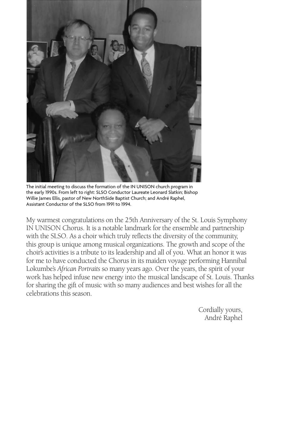

The initial meeting to discuss the formation of the IN UNISON church program in the early 1990s. From left to right: SLSO Conductor Laureate Leonard Slatkin; Bishop Willie James Ellis, pastor of New NorthSide Baptist Church; and André Raphel, Assistant Conductor of the SLSO from 1991 to 1994.

My warmest congratulations on the 25th Anniversary of the St. Louis Symphony IN UNISON Chorus. It is a notable landmark for the ensemble and partnership with the SLSO. As a choir which truly reflects the diversity of the community, this group is unique among musical organizations. The growth and scope of the choir's activities is a tribute to its leadership and all of you. What an honor it was for me to have conducted the Chorus in its maiden voyage performing Hannibal Lokumbe's *African Portraits* so many years ago. Over the years, the spirit of your work has helped infuse new energy into the musical landscape of St. Louis. Thanks for sharing the gift of music with so many audiences and best wishes for all the celebrations this season.

> Cordially yours, André Raphel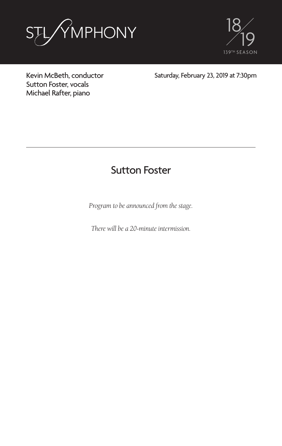



Kevin McBeth, conductor Sutton Foster, vocals Michael Rafter, piano

Saturday, February 23, 2019 at 7:30pm

### Sutton Foster

*Program to be announced from the stage.*

*There will be a 20-minute intermission.*